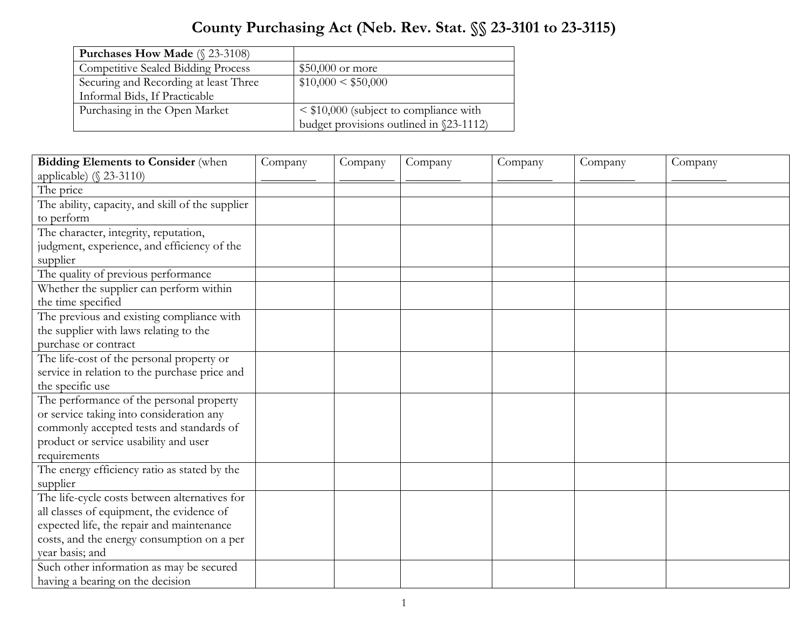## **County Purchasing Act (Neb. Rev. Stat. §§ 23-3101 to 23-3115)**

| <b>Purchases How Made</b> $(\S 23-3108)$  |                                             |
|-------------------------------------------|---------------------------------------------|
| <b>Competitive Sealed Bidding Process</b> | $$50,000$ or more                           |
| Securing and Recording at least Three     | \$10,000 < \$50,000                         |
| Informal Bids, If Practicable             |                                             |
| Purchasing in the Open Market             | $\leq$ \$10,000 (subject to compliance with |
|                                           | budget provisions outlined in §23-1112)     |

| <b>Bidding Elements to Consider (when</b>        | Company | Company | Company | Company | Company | Company |
|--------------------------------------------------|---------|---------|---------|---------|---------|---------|
| applicable) $(\S 23-3110)$                       |         |         |         |         |         |         |
| The price                                        |         |         |         |         |         |         |
| The ability, capacity, and skill of the supplier |         |         |         |         |         |         |
| to perform                                       |         |         |         |         |         |         |
| The character, integrity, reputation,            |         |         |         |         |         |         |
| judgment, experience, and efficiency of the      |         |         |         |         |         |         |
| supplier                                         |         |         |         |         |         |         |
| The quality of previous performance              |         |         |         |         |         |         |
| Whether the supplier can perform within          |         |         |         |         |         |         |
| the time specified                               |         |         |         |         |         |         |
| The previous and existing compliance with        |         |         |         |         |         |         |
| the supplier with laws relating to the           |         |         |         |         |         |         |
| purchase or contract                             |         |         |         |         |         |         |
| The life-cost of the personal property or        |         |         |         |         |         |         |
| service in relation to the purchase price and    |         |         |         |         |         |         |
| the specific use                                 |         |         |         |         |         |         |
| The performance of the personal property         |         |         |         |         |         |         |
| or service taking into consideration any         |         |         |         |         |         |         |
| commonly accepted tests and standards of         |         |         |         |         |         |         |
| product or service usability and user            |         |         |         |         |         |         |
| requirements                                     |         |         |         |         |         |         |
| The energy efficiency ratio as stated by the     |         |         |         |         |         |         |
| supplier                                         |         |         |         |         |         |         |
| The life-cycle costs between alternatives for    |         |         |         |         |         |         |
| all classes of equipment, the evidence of        |         |         |         |         |         |         |
| expected life, the repair and maintenance        |         |         |         |         |         |         |
| costs, and the energy consumption on a per       |         |         |         |         |         |         |
| year basis; and                                  |         |         |         |         |         |         |
| Such other information as may be secured         |         |         |         |         |         |         |
| having a bearing on the decision                 |         |         |         |         |         |         |